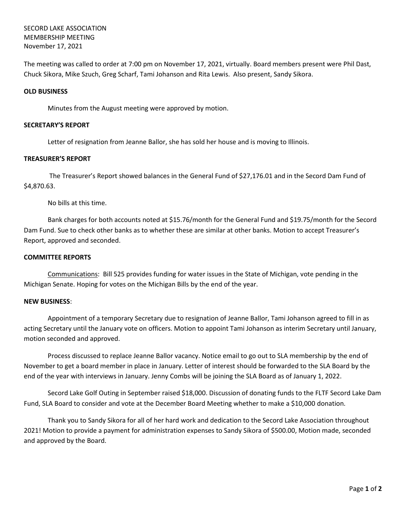# SECORD LAKE ASSOCIATION MEMBERSHIP MEETING November 17, 2021

The meeting was called to order at 7:00 pm on November 17, 2021, virtually. Board members present were Phil Dast, Chuck Sikora, Mike Szuch, Greg Scharf, Tami Johanson and Rita Lewis. Also present, Sandy Sikora.

### **OLD BUSINESS**

Minutes from the August meeting were approved by motion.

#### **SECRETARY'S REPORT**

Letter of resignation from Jeanne Ballor, she has sold her house and is moving to Illinois.

## **TREASURER'S REPORT**

The Treasurer's Report showed balances in the General Fund of \$27,176.01 and in the Secord Dam Fund of \$4,870.63.

No bills at this time.

Bank charges for both accounts noted at \$15.76/month for the General Fund and \$19.75/month for the Secord Dam Fund. Sue to check other banks as to whether these are similar at other banks. Motion to accept Treasurer's Report, approved and seconded.

#### **COMMITTEE REPORTS**

Communications: Bill 525 provides funding for water issues in the State of Michigan, vote pending in the Michigan Senate. Hoping for votes on the Michigan Bills by the end of the year.

#### **NEW BUSINESS**:

Appointment of a temporary Secretary due to resignation of Jeanne Ballor, Tami Johanson agreed to fill in as acting Secretary until the January vote on officers. Motion to appoint Tami Johanson as interim Secretary until January, motion seconded and approved.

Process discussed to replace Jeanne Ballor vacancy. Notice email to go out to SLA membership by the end of November to get a board member in place in January. Letter of interest should be forwarded to the SLA Board by the end of the year with interviews in January. Jenny Combs will be joining the SLA Board as of January 1, 2022.

Secord Lake Golf Outing in September raised \$18,000. Discussion of donating funds to the FLTF Secord Lake Dam Fund, SLA Board to consider and vote at the December Board Meeting whether to make a \$10,000 donation.

Thank you to Sandy Sikora for all of her hard work and dedication to the Secord Lake Association throughout 2021! Motion to provide a payment for administration expenses to Sandy Sikora of \$500.00, Motion made, seconded and approved by the Board.